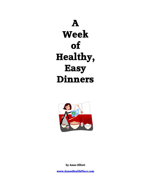# **A Week of Healthy, Easy Dinners**



**by Anne Elliott** 

**www.AnnesHealthPlace.com**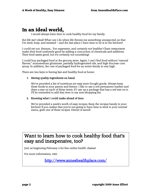# **In an ideal world,**

I would always have time to cook healthy food for my family.

But life isn't ideal! What can I do when life throws me something unexpected, so that I'm tired, busy, and stressed – and the last place I have time to be is in the kitchen?

I could eat out. Hmmm… Too expensive, and certainly not healthy! Chain restaurants make their food uniformly good by adding a concoction of chemicals and additives. Their food tastes good, but it's certainly not nourishing!

I could buy packaged food at the grocery store. Again, I can't find food without "natural flavors," monosodium glutamate, partially hydrogenated oils, and high-fructose corn syrup. In addition, the cost of packaged food for an entire family is very high.

There are two keys to having fast and healthy food at home:

## 1. Having quality ingredients on hand.

We've provided a list of nutritious yet easy store-bought goods. Always keep these foods in your pantry and freezer. I like to use a red permanent marker and draw a star on each of these items. If I use up a package that has a red star on it, I'll be reminded to add that item to my next shopping list.

#### 2. Knowing what I could make ahead of time.

We've provided a week's worth of easy recipes. Keep the recipes handy in your kitchen! If you realize that you're not going to have time to stick to your normal menu, grab one of these recipes. Dinner is saved!

# Want to learn how to cook healthy food that's easy and inexpensive, too?

Join us beginning February 4 for free online health classes!

For more information, visit:

http://www.anneshealthplace.com/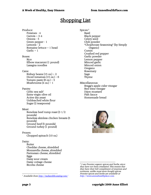# Shopping List

Produce: Potatoes - 4 Carrots – 3-4 Onions - 5 Green pepper - 1 Lemons - 2 Romaine lettuce – 1 head Garlic – 1

#### Boxes:

Rice Elbow macaroni (1 pound) Lasagna noodles

#### Cans:

Kidney beans  $(15 \text{ oz.}) - 2$ Diced tomatoes (15 oz.) – 6 Tomato paste (6 oz.) – 5 Mushrooms  $(4 \text{ oz.}) - 1$ 

#### Pantry:

Celtic sea salt $1$ Extra-virgin olive oil Active dry yeast Unbleached white flour Sugar (2 teaspoons)

#### Meat:

Boneless beef rump roast (3 1/2 pounds) Boneless skinless chicken breasts (5 pounds) Ground beef (5 pounds) Ground turkey (1 pound)

#### Frozen:

Chopped spinach (10 oz.)

#### Dairy:

Butter Cheddar cheese, shredded Mozzarella cheese, shredded Parmesan cheese, shredded Eggs Daisy sour cream Daisy cottage cheese Ricotta cheese

Spices:<sup>2</sup> Basil Black pepper Celery seed Chili powder "Chophouse Seasoning" (by Simply Organic) Cumin Crushed red pepper Garlic powder Lemon pepper Minced garlic Minced onion Oregano Rosemary Sage Thyme

Miscellaneous: Bragg's apple cider vinegar Red wine vinegar Dijon mustard Fish Sauce Homemade bread



<sup>-</sup><sup>1</sup> Available from <u>http://radiantlifecatalog.com/</u>

 $\overline{a}$ <sup>2</sup> I use Frontier organic spices and herbs, since they have not been irradiated. This means that they have their full compliment of enzymes and nutrients, unlike most store-bought spices. Frontier spices and herbs are available at http://www.anneshealthplace.com.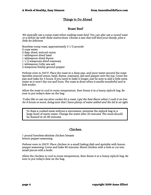# Things to Do Ahead

## Roast Beef

We typically use a rump roast when making roast beef. You can also use a round roast or a sirloin tip with these instructions. Choose a size that will feed your family, plus a little for leftovers.

Boneless rump roast, approximately 3 1/2 pounds 2 cups water 2 tbsp. dried, minced onion 1 tablespoon dried basil 1 tablespoon dried thyme 1 1/2 teaspoons dried rosemary 1 tablespoon Celtic sea salt 2 teaspoons freshly ground pepper

Preheat oven to 350°F. Place the roast in a deep pan, and pour water around the roast. Sprinkle minced onion, basil, thyme, rosemary, salt and pepper over the top. Cover the pan and bake for 3 hours. If you need to bake it longer, just be sure to add a little extra water so it won't dry out and burn. The roast is done when it smells wonderful and is fork tender.

Allow the roast to cool to room temperature, then freeze it in a heavy ziplock bag. Be sure to put today's date on the bag.

\*I also like to use my slow cooker for a roast. I get the best flavor when I cook it on low for 6 hours or more, being sure that I have plenty of water added and the lid is on tight.

To thaw a cooked meat without a microwave, immerse the ziplock bag in a large bowl of warm water. Change the water after 30 minutes. The meat should be thawed in 45-60 minutes.

## Chicken

ł

1 pound boneless skinless chicken breasts lemon pepper seasoning

Preheat oven to 350°F. Place chicken in a small baking dish and sprinkle with lemon pepper seasoning. Cover and bake 60 minutes. Shred chicken with a fork or cut into small pieces with a knife.

Allow the chicken to cool to room temperature, then freeze it in a heavy ziplock bag. Be sure to put today's date on the bag.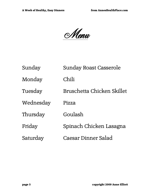Menu

| Sunday    | Sunday Roast Casserole     |
|-----------|----------------------------|
| Monday    | Chili                      |
| Tuesday   | Bruschetta Chicken Skillet |
| Wednesday | Pizza                      |
| Thursday  | Goulash                    |
| Friday    | Spinach Chicken Lasagna    |
| Saturday  | <b>Caesar Dinner Salad</b> |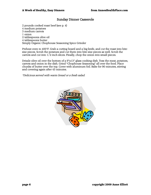# Sunday Dinner Casserole

2 pounds cooked roast beef (see p. 4) 4 medium potatoes 3 medium carrots 1 onion 2 tablespoons olive oil 4 tablespoons butter Simply Organic Chophouse Seasoning Spice Grinder

Preheat oven to 400°F. Grab a cutting board and a big knife, and cut the roast into bitesize pieces. Scrub the potatoes and cut them into bite-size pieces as well. Scrub the carrots and cut into  $1/2$ -inch slices. Finally, chop the onion into small pieces.

Drizzle olive oil over the bottom of a 9"x13" glass cooking dish. Toss the meat, potatoes, carrots and onion in the dish. Grind "Chophouse Seasoning" all over the food. Place chunks of butter over the top. Cover with aluminum foil. Bake for 90 minutes, stirring and covering again after 45 minutes.

\*Delicious served with warm bread or a fresh salad.

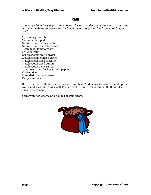# Chili

I've noticed that busy days come in pairs. This meal makes plenty so you can put some away in the freezer or save some for lunch the next day, which is likely to be busy as well.

3 pounds ground beef 2 onions, chopped 2 cans (15 oz.) kidney beans 2 cans (15 oz.) diced tomatoes 1 can (6 oz.) tomato paste 3/4 cup water 2 tablespoons chili powder 2 tablespoons minced garlic 1 tablespoon dried oregano 1 tablespoon dried cumin 1 tablespoon Celtic sea salt 1 1/2 teaspoons freshly ground pepper Cooked rice Shredded cheddar cheese Daisy sour cream

Brown the beef with the onions over medium heat. Add beans, tomatoes, tomato paste, water, and seasonings. Mix well. Reduce heat to low; cover. Simmer 30-60 minutes, stirring occasionally.

Serve with rice, cheese and dollops of sour cream.

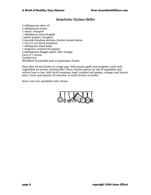# Bruschetta Chicken Skillet

2 tablespoons olive oil 2 tablespoons butter 1 onion, chopped 1 tablespoon minced garlic 1 green pepper, chopped 2 pounds boneless skinless chicken breast halves 1 can (15 oz.) diced tomatoes 1 tablespoon dried basil 1 teaspoon crushed red pepper 2 tablespoons Bragg's apple cider vinegar Juice of 1 lemon Cooked rice Shredded mozzarella and/or parmesan cheese

Heat olive oil and butter in a large pan. Add onions, garlic and peppers; cook until vegetables are tender, stirring often. Place chicken pieces on top of vegetables and reduce heat to low. Add diced tomatoes, basil, crushed red pepper, vinegar, and lemon juice. Cover and simmer 30 minutes, or until chicken is tender.

Serve over rice, sprinkled with cheese.

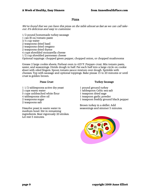### Pizza

We've found that we can have this pizza on the table almost as fast as we can call takeout. It's delicious and easy to customize.

1/2 pound homemade turkey sausage

1 can (6 oz.) tomato paste

3/4 cup water

2 teaspoons dried basil

2 teaspoons dried oregano

2 teaspoons dried thyme

4 cups shredded mozzarella cheese

1/2 cup shredded parmesan cheese

Optional toppings: chopped green pepper, chopped onion, or chopped mushrooms

Grease 2 large cookie sheets. Preheat oven to 425°F. Prepare crust. Mix tomato paste, water, and seasonings. Divide dough in half. Pat each half into a large circle on cookie sheet with oiled fingers. Spoon tomato-sauce mixture over dough. Sprinkle with cheeses. Top with sausage and optional toppings. Bake pizzas 15 to 20 minutes or until crust is golden brown.

#### Pizza Crust

1 1/2 tablespoons active dry yeast

- 2 cups warm water
- 5 cups unbleached white flour
- 4 tablespoons olive oil
- 2 teaspoons sugar
- 2 teaspoons salt

Dissolve yeast in warm water in medium bowl. Stir in remaining ingredients. Beat vigorously 20 strokes. Let rest 5 minutes.

#### Turkey Sausage

- 1 pound ground turkey
- 1 tablespoon Celtic sea salt
- 1 teaspoon dried sage

1 teaspoon garlic powder

1 teaspoon freshly ground black pepper

Brown turkey in a skillet. Add seasonings and simmer 5 minutes.

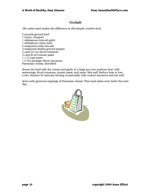# Goulash

The celery seed makes the difference in this simple comfort food.

2 pounds ground beef 1 onion, chopped 1 tablespoon minced garlic 1 tablespoon celery seed 2 teaspoons Celtic sea salt 2 teaspoons freshly ground pepper 2 cans (15 oz.) diced tomatoes 2 cans (6 oz.) tomato paste 1  $1/2$  cups water 1 (1 lb.) package elbow macaroni Parmesan cheese, shredded

Brown the beef with the onions and garlic in a large pot over medium heat. Add seasonings, diced tomatoes, tomato paste, and water. Mix well. Reduce heat to low; cover. Simmer 30 minutes, stirring occasionally. Add cooked macaroni and stir well.

Serve with generous toppings of Parmesan cheese. This meal tastes even better the next day.

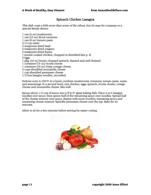# Spinach Chicken Lasagna

This dish costs a little more than some of the others, but it's easy for company or a special family dinner.

1 can (4 oz.) mushrooms 1 can (15 oz.) diced tomatoes 1 can (6 oz.) tomato paste 3/4 cup water 2 teaspoons dried basil 2 teaspoons dried oregano 2 teaspoons dried thyme 1 pound cooked chicken, chopped or shredded (see p. 4) 2 eggs 1 pkg. (10 oz.) frozen chopped spinach, thawed and well drained 1 container (15 oz.) ricotta cheese 1 container (16 oz.) Daisy cottage cheese 2 cups shredded mozzarella cheese 1 cup shredded parmesan cheese 1/2 box lasagna noodles, uncooked

Preheat oven to 350°F. In a bowl, combine mushrooms, tomatoes, tomato paste, water, and seasonings. In a second bowl, mix chicken, eggs, spinach, ricotta cheese, cottage cheese and mozzarella cheese. Mix well.

Spoon about 1/2 cup of sauce into a 9"x13" glass baking dish. Place 4 or 5 lasagna noodles over sauce, then spoon half of the remaining sauce over noodles. Spread half of the cheese mixture over sauce. Repeat with more noodles, remaining sauce and remaining cheese mixture. Sprinkle parmesan cheese over the top. Bake for 45 minutes.

Allow to sit for a few minutes before serving for easier cutting.